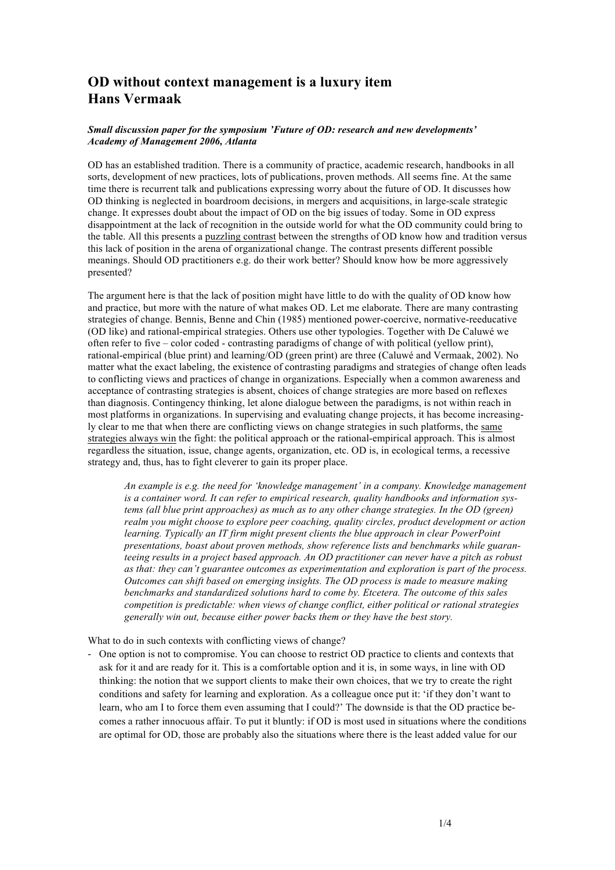## **OD without context management is a luxury item Hans Vermaak**

## *Small discussion paper for the symposium 'Future of OD: research and new developments' Academy of Management 2006, Atlanta*

OD has an established tradition. There is a community of practice, academic research, handbooks in all sorts, development of new practices, lots of publications, proven methods. All seems fine. At the same time there is recurrent talk and publications expressing worry about the future of OD. It discusses how OD thinking is neglected in boardroom decisions, in mergers and acquisitions, in large-scale strategic change. It expresses doubt about the impact of OD on the big issues of today. Some in OD express disappointment at the lack of recognition in the outside world for what the OD community could bring to the table. All this presents a puzzling contrast between the strengths of OD know how and tradition versus this lack of position in the arena of organizational change. The contrast presents different possible meanings. Should OD practitioners e.g. do their work better? Should know how be more aggressively presented?

The argument here is that the lack of position might have little to do with the quality of OD know how and practice, but more with the nature of what makes OD. Let me elaborate. There are many contrasting strategies of change. Bennis, Benne and Chin (1985) mentioned power-coercive, normative-reeducative (OD like) and rational-empirical strategies. Others use other typologies. Together with De Caluwé we often refer to five – color coded - contrasting paradigms of change of with political (yellow print), rational-empirical (blue print) and learning/OD (green print) are three (Caluwé and Vermaak, 2002). No matter what the exact labeling, the existence of contrasting paradigms and strategies of change often leads to conflicting views and practices of change in organizations. Especially when a common awareness and acceptance of contrasting strategies is absent, choices of change strategies are more based on reflexes than diagnosis. Contingency thinking, let alone dialogue between the paradigms, is not within reach in most platforms in organizations. In supervising and evaluating change projects, it has become increasingly clear to me that when there are conflicting views on change strategies in such platforms, the same strategies always win the fight: the political approach or the rational-empirical approach. This is almost regardless the situation, issue, change agents, organization, etc. OD is, in ecological terms, a recessive strategy and, thus, has to fight cleverer to gain its proper place.

*An example is e.g. the need for 'knowledge management' in a company. Knowledge management is a container word. It can refer to empirical research, quality handbooks and information systems (all blue print approaches) as much as to any other change strategies. In the OD (green) realm you might choose to explore peer coaching, quality circles, product development or action learning. Typically an IT firm might present clients the blue approach in clear PowerPoint presentations, boast about proven methods, show reference lists and benchmarks while guaranteeing results in a project based approach. An OD practitioner can never have a pitch as robust as that: they can't guarantee outcomes as experimentation and exploration is part of the process. Outcomes can shift based on emerging insights. The OD process is made to measure making benchmarks and standardized solutions hard to come by. Etcetera. The outcome of this sales competition is predictable: when views of change conflict, either political or rational strategies generally win out, because either power backs them or they have the best story.*

What to do in such contexts with conflicting views of change?

! One option is not to compromise. You can choose to restrict OD practice to clients and contexts that ask for it and are ready for it. This is a comfortable option and it is, in some ways, in line with OD thinking: the notion that we support clients to make their own choices, that we try to create the right conditions and safety for learning and exploration. As a colleague once put it: 'if they don't want to learn, who am I to force them even assuming that I could?' The downside is that the OD practice becomes a rather innocuous affair. To put it bluntly: if OD is most used in situations where the conditions are optimal for OD, those are probably also the situations where there is the least added value for our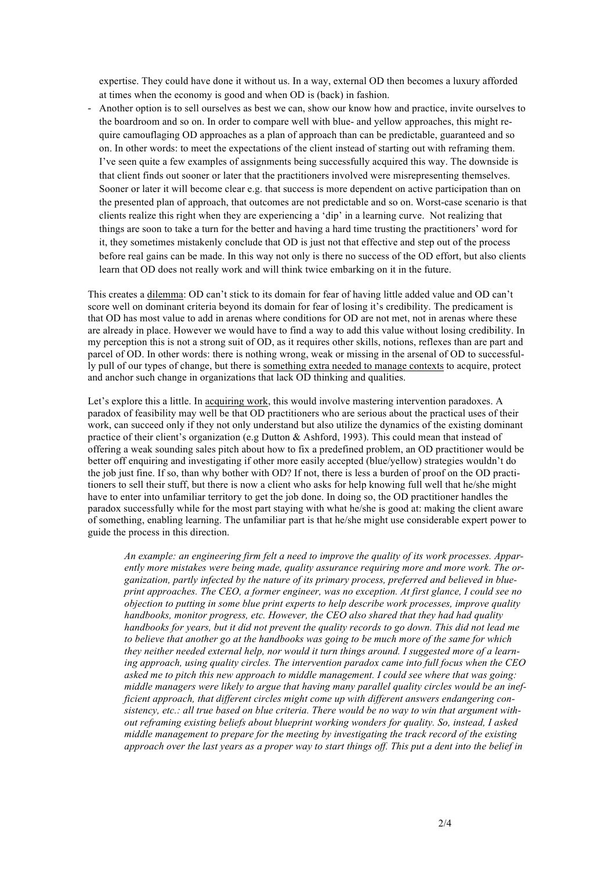expertise. They could have done it without us. In a way, external OD then becomes a luxury afforded at times when the economy is good and when OD is (back) in fashion.

! Another option is to sell ourselves as best we can, show our know how and practice, invite ourselves to the boardroom and so on. In order to compare well with blue- and yellow approaches, this might require camouflaging OD approaches as a plan of approach than can be predictable, guaranteed and so on. In other words: to meet the expectations of the client instead of starting out with reframing them. I've seen quite a few examples of assignments being successfully acquired this way. The downside is that client finds out sooner or later that the practitioners involved were misrepresenting themselves. Sooner or later it will become clear e.g. that success is more dependent on active participation than on the presented plan of approach, that outcomes are not predictable and so on. Worst-case scenario is that clients realize this right when they are experiencing a 'dip' in a learning curve. Not realizing that things are soon to take a turn for the better and having a hard time trusting the practitioners' word for it, they sometimes mistakenly conclude that OD is just not that effective and step out of the process before real gains can be made. In this way not only is there no success of the OD effort, but also clients learn that OD does not really work and will think twice embarking on it in the future.

This creates a dilemma: OD can't stick to its domain for fear of having little added value and OD can't score well on dominant criteria beyond its domain for fear of losing it's credibility. The predicament is that OD has most value to add in arenas where conditions for OD are not met, not in arenas where these are already in place. However we would have to find a way to add this value without losing credibility. In my perception this is not a strong suit of OD, as it requires other skills, notions, reflexes than are part and parcel of OD. In other words: there is nothing wrong, weak or missing in the arsenal of OD to successfully pull of our types of change, but there is something extra needed to manage contexts to acquire, protect and anchor such change in organizations that lack OD thinking and qualities.

Let's explore this a little. In acquiring work, this would involve mastering intervention paradoxes. A paradox of feasibility may well be that OD practitioners who are serious about the practical uses of their work, can succeed only if they not only understand but also utilize the dynamics of the existing dominant practice of their client's organization (e.g Dutton & Ashford, 1993). This could mean that instead of offering a weak sounding sales pitch about how to fix a predefined problem, an OD practitioner would be better off enquiring and investigating if other more easily accepted (blue/yellow) strategies wouldn't do the job just fine. If so, than why bother with OD? If not, there is less a burden of proof on the OD practitioners to sell their stuff, but there is now a client who asks for help knowing full well that he/she might have to enter into unfamiliar territory to get the job done. In doing so, the OD practitioner handles the paradox successfully while for the most part staying with what he/she is good at: making the client aware of something, enabling learning. The unfamiliar part is that he/she might use considerable expert power to guide the process in this direction.

*An example: an engineering firm felt a need to improve the quality of its work processes. Apparently more mistakes were being made, quality assurance requiring more and more work. The organization, partly infected by the nature of its primary process, preferred and believed in blueprint approaches. The CEO, a former engineer, was no exception. At first glance, I could see no objection to putting in some blue print experts to help describe work processes, improve quality handbooks, monitor progress, etc. However, the CEO also shared that they had had quality handbooks for years, but it did not prevent the quality records to go down. This did not lead me to believe that another go at the handbooks was going to be much more of the same for which they neither needed external help, nor would it turn things around. I suggested more of a learning approach, using quality circles. The intervention paradox came into full focus when the CEO asked me to pitch this new approach to middle management. I could see where that was going: middle managers were likely to argue that having many parallel quality circles would be an inefficient approach, that different circles might come up with different answers endangering consistency, etc.: all true based on blue criteria. There would be no way to win that argument without reframing existing beliefs about blueprint working wonders for quality. So, instead, I asked middle management to prepare for the meeting by investigating the track record of the existing approach over the last years as a proper way to start things off. This put a dent into the belief in*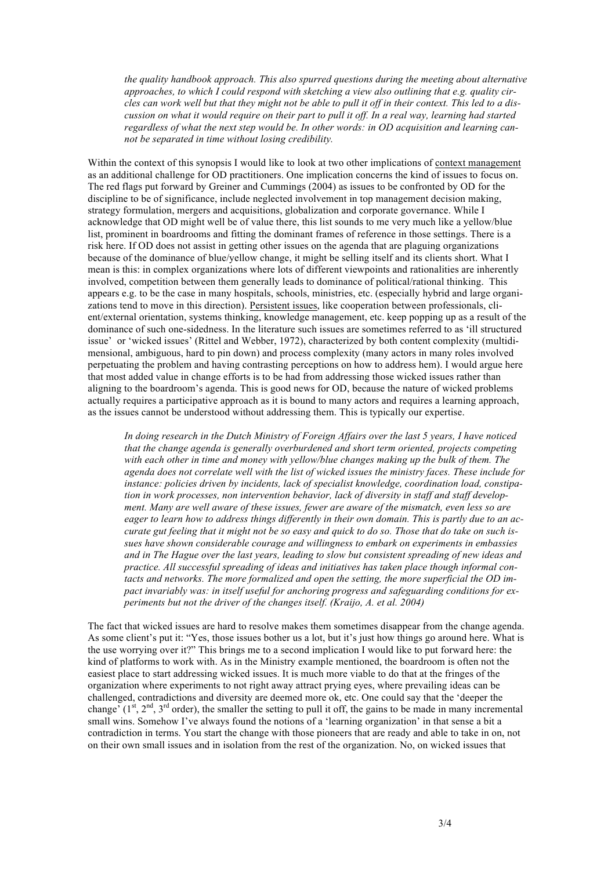*the quality handbook approach. This also spurred questions during the meeting about alternative approaches, to which I could respond with sketching a view also outlining that e.g. quality circles can work well but that they might not be able to pull it off in their context. This led to a discussion on what it would require on their part to pull it off. In a real way, learning had started regardless of what the next step would be. In other words: in OD acquisition and learning cannot be separated in time without losing credibility.* 

Within the context of this synopsis I would like to look at two other implications of context management as an additional challenge for OD practitioners. One implication concerns the kind of issues to focus on. The red flags put forward by Greiner and Cummings (2004) as issues to be confronted by OD for the discipline to be of significance, include neglected involvement in top management decision making, strategy formulation, mergers and acquisitions, globalization and corporate governance. While I acknowledge that OD might well be of value there, this list sounds to me very much like a yellow/blue list, prominent in boardrooms and fitting the dominant frames of reference in those settings. There is a risk here. If OD does not assist in getting other issues on the agenda that are plaguing organizations because of the dominance of blue/yellow change, it might be selling itself and its clients short. What I mean is this: in complex organizations where lots of different viewpoints and rationalities are inherently involved, competition between them generally leads to dominance of political/rational thinking. This appears e.g. to be the case in many hospitals, schools, ministries, etc. (especially hybrid and large organizations tend to move in this direction). Persistent issues, like cooperation between professionals, client/external orientation, systems thinking, knowledge management, etc. keep popping up as a result of the dominance of such one-sidedness. In the literature such issues are sometimes referred to as 'ill structured issue' or 'wicked issues' (Rittel and Webber, 1972), characterized by both content complexity (multidimensional, ambiguous, hard to pin down) and process complexity (many actors in many roles involved perpetuating the problem and having contrasting perceptions on how to address hem). I would argue here that most added value in change efforts is to be had from addressing those wicked issues rather than aligning to the boardroom's agenda. This is good news for OD, because the nature of wicked problems actually requires a participative approach as it is bound to many actors and requires a learning approach, as the issues cannot be understood without addressing them. This is typically our expertise.

*In doing research in the Dutch Ministry of Foreign Affairs over the last 5 years, I have noticed that the change agenda is generally overburdened and short term oriented, projects competing with each other in time and money with yellow/blue changes making up the bulk of them. The agenda does not correlate well with the list of wicked issues the ministry faces. These include for instance: policies driven by incidents, lack of specialist knowledge, coordination load, constipation in work processes, non intervention behavior, lack of diversity in staff and staff development. Many are well aware of these issues, fewer are aware of the mismatch, even less so are eager to learn how to address things differently in their own domain. This is partly due to an accurate gut feeling that it might not be so easy and quick to do so. Those that do take on such issues have shown considerable courage and willingness to embark on experiments in embassies and in The Hague over the last years, leading to slow but consistent spreading of new ideas and practice. All successful spreading of ideas and initiatives has taken place though informal contacts and networks. The more formalized and open the setting, the more superficial the OD impact invariably was: in itself useful for anchoring progress and safeguarding conditions for experiments but not the driver of the changes itself. (Kraijo, A. et al. 2004)*

The fact that wicked issues are hard to resolve makes them sometimes disappear from the change agenda. As some client's put it: "Yes, those issues bother us a lot, but it's just how things go around here. What is the use worrying over it?" This brings me to a second implication I would like to put forward here: the kind of platforms to work with. As in the Ministry example mentioned, the boardroom is often not the easiest place to start addressing wicked issues. It is much more viable to do that at the fringes of the organization where experiments to not right away attract prying eyes, where prevailing ideas can be challenged, contradictions and diversity are deemed more ok, etc. One could say that the 'deeper the change'  $(1^{st}, 2^{nd}, 3^{rd}$  order), the smaller the setting to pull it off, the gains to be made in many incremental small wins. Somehow I've always found the notions of a 'learning organization' in that sense a bit a contradiction in terms. You start the change with those pioneers that are ready and able to take in on, not on their own small issues and in isolation from the rest of the organization. No, on wicked issues that